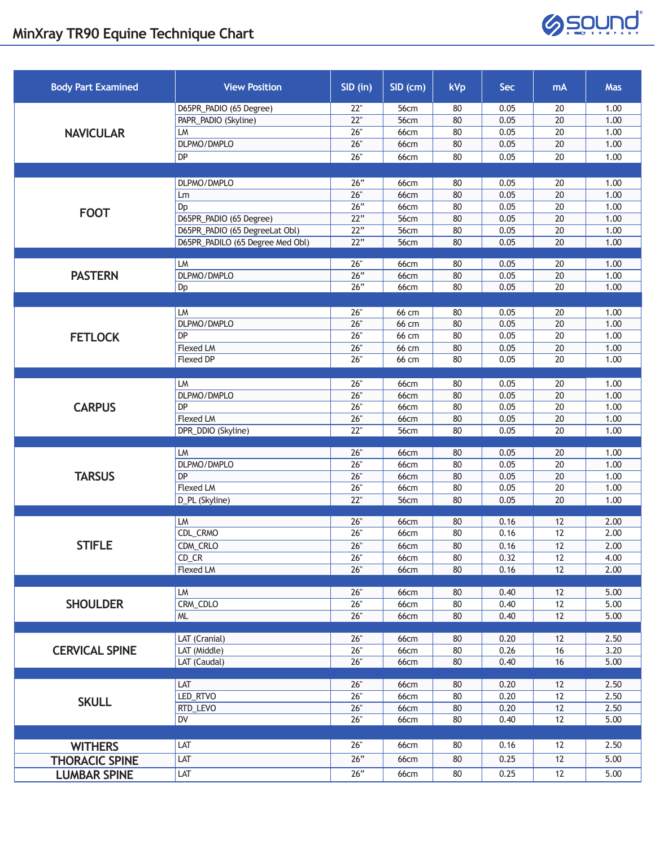

| <b>Body Part Examined</b> | <b>View Position</b>             | $SID$ (in) | $SID$ (cm)   | <b>kVp</b> | <b>Sec</b> | mA              | Mas  |
|---------------------------|----------------------------------|------------|--------------|------------|------------|-----------------|------|
| <b>NAVICULAR</b>          | D65PR_PADIO (65 Degree)          | 22"        | <b>56cm</b>  | 80         | 0.05       | 20              | 1.00 |
|                           | PAPR_PADIO (Skyline)             | 22"        | 56cm         | 80         | 0.05       | $\overline{20}$ | 1.00 |
|                           | LM                               | 26"        | <b>66cm</b>  | 80         | 0.05       | 20              | 1.00 |
|                           | DLPMO/DMPLO                      | 26"        | <b>66cm</b>  | 80         | 0.05       | 20              | 1.00 |
|                           | DP                               | 26"        | 66cm         | 80         | 0.05       | 20              | 1.00 |
|                           |                                  |            |              |            |            |                 |      |
| <b>FOOT</b>               | DLPMO/DMPLO                      | 26"        | 66cm         | 80         | 0.05       | 20              | 1.00 |
|                           | Lm                               | 26"        | <b>66cm</b>  | 80         | 0.05       | 20              | 1.00 |
|                           | Dp                               | 26"        | <b>66cm</b>  | 80         | 0.05       | 20              | 1.00 |
|                           | D65PR_PADIO (65 Degree)          | 22"        | 56cm         | 80         | 0.05       | 20              | 1.00 |
|                           | D65PR_PADIO (65 DegreeLat Obl)   | 22"        | 56cm         | 80         | 0.05       | 20              | 1.00 |
|                           | D65PR_PADILO (65 Degree Med Obl) | 22"        | 56cm         | 80         | 0.05       | 20              | 1.00 |
| <b>PASTERN</b>            | LM                               | 26"        | 66cm         | 80         | 0.05       | 20              | 1.00 |
|                           | DLPMO/DMPLO                      | 26"        | 66cm         | 80         | 0.05       | 20              | 1.00 |
|                           | Dp                               | 26"        | <b>66cm</b>  | 80         | 0.05       | 20              | 1.00 |
|                           |                                  |            |              |            |            |                 |      |
|                           | LM                               | 26"        | 66 cm        | 80         | 0.05       | 20              | 1.00 |
| <b>FETLOCK</b>            | DLPMO/DMPLO                      | 26"        | 66 cm        | 80         | 0.05       | 20              | 1.00 |
|                           | DP                               | 26"        | 66 cm        | 80         | 0.05       | 20              | 1.00 |
|                           | Flexed LM                        | 26"        | 66 cm        | 80         | 0.05       | 20              | 1.00 |
|                           | <b>Flexed DP</b>                 | 26"        | 66 cm        | 80         | 0.05       | 20              | 1.00 |
|                           |                                  |            |              |            |            |                 |      |
| <b>CARPUS</b>             | LM                               | 26"        | 66cm         | 80         | 0.05       | 20              | 1.00 |
|                           | DLPMO/DMPLO                      | 26"        | 66cm         | 80         | 0.05       | 20              | 1.00 |
|                           | DP                               | 26"        | 66cm         | 80         | 0.05       | $20\,$          | 1.00 |
|                           | Flexed LM                        | 26"        | <b>66cm</b>  | 80         | 0.05       | 20              | 1.00 |
|                           | DPR_DDIO (Skyline)               | 22"        | 56cm         | 80         | 0.05       | 20              | 1.00 |
| <b>TARSUS</b>             | LM                               | 26"        | <b>66cm</b>  | 80         | 0.05       | 20              | 1.00 |
|                           | DLPMO/DMPLO                      | 26"        | 66cm         | 80         | 0.05       | 20              | 1.00 |
|                           | DP                               | 26"        | <b>66cm</b>  | 80         | 0.05       | $\overline{20}$ | 1.00 |
|                           | Flexed LM                        | 26"        | 66cm         | 80         | 0.05       | 20              | 1.00 |
|                           | D_PL (Skyline)                   | 22"        | 56cm         | 80         | 0.05       | 20              | 1.00 |
|                           |                                  |            |              |            |            |                 |      |
| <b>STIFLE</b>             | LM                               | 26"        | 66cm         | 80         | 0.16       | 12              | 2.00 |
|                           | CDL_CRMO                         | 26"        | 66cm         | 80         | 0.16       | 12              | 2.00 |
|                           | CDM_CRLO                         | 26"        | 66cm         | 80         | 0.16       | 12              | 2.00 |
|                           | $CD_CR$                          | 26"        | 66cm         | 80         | 0.32       | 12              | 4.00 |
|                           | Flexed LM                        | 26"        | 66cm         | 80         | 0.16       | 12              | 2.00 |
|                           | LM                               | 26"        |              |            | 0.40       | 12              | 5.00 |
| <b>SHOULDER</b>           | CRM_CDLO                         | 26"        | 66cm<br>66cm | 80<br>80   | 0.40       | 12              | 5.00 |
|                           | <b>ML</b>                        | 26"        | 66cm         | 80         | 0.40       | 12              | 5.00 |
|                           |                                  |            |              |            |            |                 |      |
| <b>CERVICAL SPINE</b>     | LAT (Cranial)                    | 26"        | 66cm         | 80         | 0.20       | 12              | 2.50 |
|                           | LAT (Middle)                     | 26"        | <b>66cm</b>  | 80         | 0.26       | 16              | 3.20 |
|                           | LAT (Caudal)                     | 26"        | 66cm         | 80         | 0.40       | 16              | 5.00 |
| <b>SKULL</b>              |                                  |            |              |            |            |                 |      |
|                           | LAT                              | 26"        | 66cm         | 80         | 0.20       | 12              | 2.50 |
|                           | LED_RTVO                         | 26"        | 66cm         | 80         | 0.20       | $12$            | 2.50 |
|                           | RTD_LEVO                         | 26"        | 66cm         | 80         | 0.20       | 12              | 2.50 |
|                           | DV                               | 26"        | 66cm         | 80         | 0.40       | 12              | 5.00 |
|                           |                                  |            |              |            |            |                 |      |
| <b>WITHERS</b>            | LAT                              | $26"$      | 66cm         | 80         | 0.16       | 12              | 2.50 |
| <b>THORACIC SPINE</b>     | LAT                              | 26"        | 66cm         | 80         | 0.25       | 12              | 5.00 |
| <b>LUMBAR SPINE</b>       | LAT                              | 26"        | 66cm         | 80         | 0.25       | 12              | 5.00 |